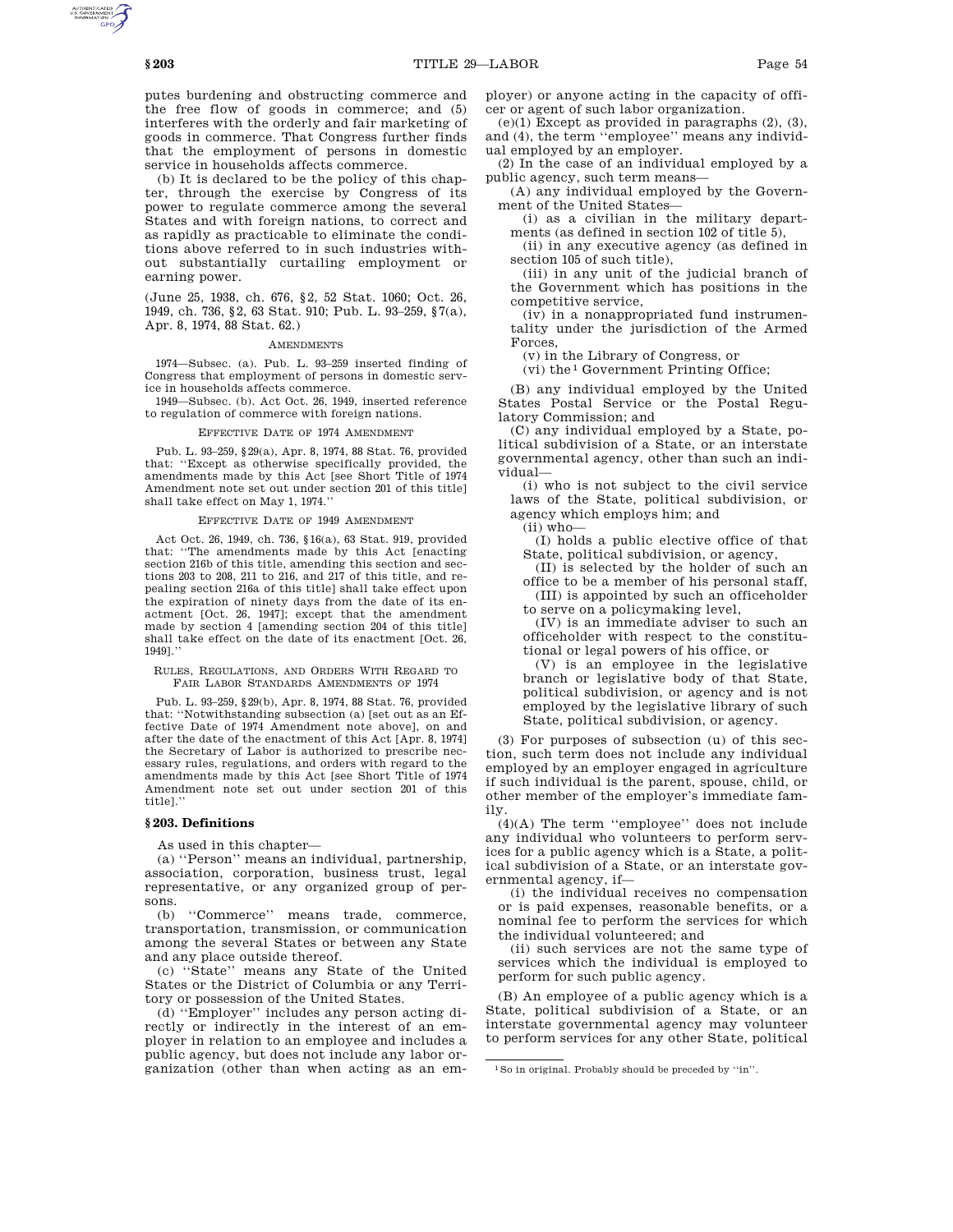putes burdening and obstructing commerce and the free flow of goods in commerce; and (5) interferes with the orderly and fair marketing of goods in commerce. That Congress further finds that the employment of persons in domestic service in households affects commerce.

(b) It is declared to be the policy of this chapter, through the exercise by Congress of its power to regulate commerce among the several States and with foreign nations, to correct and as rapidly as practicable to eliminate the conditions above referred to in such industries without substantially curtailing employment or earning power.

(June 25, 1938, ch. 676, §2, 52 Stat. 1060; Oct. 26, 1949, ch. 736, §2, 63 Stat. 910; Pub. L. 93–259, §7(a), Apr. 8, 1974, 88 Stat. 62.)

## AMENDMENTS

1974—Subsec. (a). Pub. L. 93–259 inserted finding of Congress that employment of persons in domestic service in households affects commerce.

1949—Subsec. (b). Act Oct. 26, 1949, inserted reference to regulation of commerce with foreign nations.

### EFFECTIVE DATE OF 1974 AMENDMENT

Pub. L. 93–259, §29(a), Apr. 8, 1974, 88 Stat. 76, provided that: ''Except as otherwise specifically provided, the amendments made by this Act [see Short Title of 1974 Amendment note set out under section 201 of this title] shall take effect on May 1, 1974.''

# EFFECTIVE DATE OF 1949 AMENDMENT

Act Oct. 26, 1949, ch. 736, §16(a), 63 Stat. 919, provided that: ''The amendments made by this Act [enacting section 216b of this title, amending this section and sections 203 to 208, 211 to 216, and 217 of this title, and repealing section 216a of this title] shall take effect upon the expiration of ninety days from the date of its enactment [Oct. 26, 1947]; except that the amendment made by section 4 [amending section 204 of this title] shall take effect on the date of its enactment [Oct. 26, 1949].''

RULES, REGULATIONS, AND ORDERS WITH REGARD TO FAIR LABOR STANDARDS AMENDMENTS OF 1974

Pub. L. 93–259, §29(b), Apr. 8, 1974, 88 Stat. 76, provided that: ''Notwithstanding subsection (a) [set out as an Effective Date of 1974 Amendment note above], on and after the date of the enactment of this Act [Apr. 8, 1974] the Secretary of Labor is authorized to prescribe necessary rules, regulations, and orders with regard to the amendments made by this Act [see Short Title of 1974 Amendment note set out under section 201 of this title].''

## **§ 203. Definitions**

As used in this chapter—

(a) ''Person'' means an individual, partnership, association, corporation, business trust, legal representative, or any organized group of persons.

(b) ''Commerce'' means trade, commerce, transportation, transmission, or communication among the several States or between any State and any place outside thereof.

(c) ''State'' means any State of the United States or the District of Columbia or any Territory or possession of the United States.

(d) ''Employer'' includes any person acting directly or indirectly in the interest of an employer in relation to an employee and includes a public agency, but does not include any labor organization (other than when acting as an employer) or anyone acting in the capacity of officer or agent of such labor organization.

 $(e)(1)$  Except as provided in paragraphs  $(2)$ ,  $(3)$ , and (4), the term ''employee'' means any individual employed by an employer.

(2) In the case of an individual employed by a public agency, such term means—

(A) any individual employed by the Government of the United States—

(i) as a civilian in the military departments (as defined in section 102 of title 5),

(ii) in any executive agency (as defined in section 105 of such title),

(iii) in any unit of the judicial branch of the Government which has positions in the competitive service,

(iv) in a nonappropriated fund instrumentality under the jurisdiction of the Armed Forces,

(v) in the Library of Congress, or

(vi) the 1 Government Printing Office;

(B) any individual employed by the United States Postal Service or the Postal Regulatory Commission; and

(C) any individual employed by a State, political subdivision of a State, or an interstate governmental agency, other than such an individual—

(i) who is not subject to the civil service laws of the State, political subdivision, or agency which employs him; and

(ii) who—

(I) holds a public elective office of that State, political subdivision, or agency,

(II) is selected by the holder of such an office to be a member of his personal staff, (III) is appointed by such an officeholder

to serve on a policymaking level,

(IV) is an immediate adviser to such an officeholder with respect to the constitutional or legal powers of his office, or

(V) is an employee in the legislative branch or legislative body of that State, political subdivision, or agency and is not employed by the legislative library of such State, political subdivision, or agency.

(3) For purposes of subsection (u) of this section, such term does not include any individual employed by an employer engaged in agriculture if such individual is the parent, spouse, child, or other member of the employer's immediate family.

(4)(A) The term ''employee'' does not include any individual who volunteers to perform services for a public agency which is a State, a political subdivision of a State, or an interstate governmental agency, if—

(i) the individual receives no compensation or is paid expenses, reasonable benefits, or a nominal fee to perform the services for which the individual volunteered; and

(ii) such services are not the same type of services which the individual is employed to perform for such public agency.

(B) An employee of a public agency which is a State, political subdivision of a State, or an interstate governmental agency may volunteer to perform services for any other State, political

<sup>1</sup>So in original. Probably should be preceded by ''in''.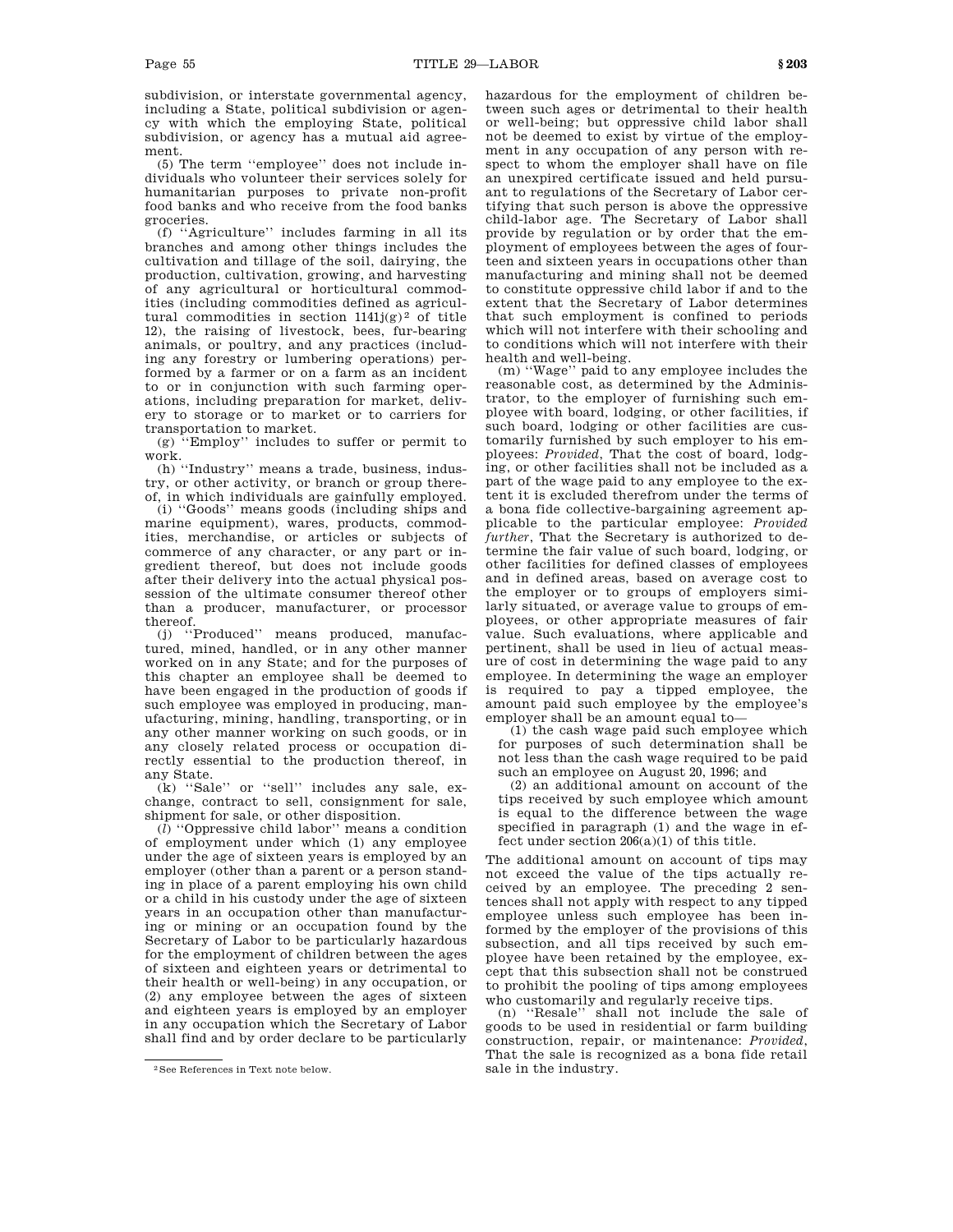subdivision, or interstate governmental agency, including a State, political subdivision or agency with which the employing State, political subdivision, or agency has a mutual aid agreement.

(5) The term ''employee'' does not include individuals who volunteer their services solely for humanitarian purposes to private non-profit food banks and who receive from the food banks groceries.

(f) ''Agriculture'' includes farming in all its branches and among other things includes the cultivation and tillage of the soil, dairying, the production, cultivation, growing, and harvesting of any agricultural or horticultural commodities (including commodities defined as agricultural commodities in section  $1141j(g)^2$  of title 12), the raising of livestock, bees, fur-bearing animals, or poultry, and any practices (including any forestry or lumbering operations) performed by a farmer or on a farm as an incident to or in conjunction with such farming operations, including preparation for market, delivery to storage or to market or to carriers for transportation to market.

(g) ''Employ'' includes to suffer or permit to work.

(h) ''Industry'' means a trade, business, industry, or other activity, or branch or group thereof, in which individuals are gainfully employed.

(i) ''Goods'' means goods (including ships and marine equipment), wares, products, commodities, merchandise, or articles or subjects of commerce of any character, or any part or ingredient thereof, but does not include goods after their delivery into the actual physical possession of the ultimate consumer thereof other than a producer, manufacturer, or processor thereof.

(j) ''Produced'' means produced, manufactured, mined, handled, or in any other manner worked on in any State; and for the purposes of this chapter an employee shall be deemed to have been engaged in the production of goods if such employee was employed in producing, manufacturing, mining, handling, transporting, or in any other manner working on such goods, or in any closely related process or occupation directly essential to the production thereof, in any State.

(k) "Sale" or "sell" includes any sale, exchange, contract to sell, consignment for sale, shipment for sale, or other disposition.

(*l*) ''Oppressive child labor'' means a condition of employment under which (1) any employee under the age of sixteen years is employed by an employer (other than a parent or a person standing in place of a parent employing his own child or a child in his custody under the age of sixteen years in an occupation other than manufacturing or mining or an occupation found by the Secretary of Labor to be particularly hazardous for the employment of children between the ages of sixteen and eighteen years or detrimental to their health or well-being) in any occupation, or (2) any employee between the ages of sixteen and eighteen years is employed by an employer in any occupation which the Secretary of Labor shall find and by order declare to be particularly

hazardous for the employment of children between such ages or detrimental to their health or well-being; but oppressive child labor shall not be deemed to exist by virtue of the employment in any occupation of any person with respect to whom the employer shall have on file an unexpired certificate issued and held pursuant to regulations of the Secretary of Labor certifying that such person is above the oppressive child-labor age. The Secretary of Labor shall provide by regulation or by order that the employment of employees between the ages of fourteen and sixteen years in occupations other than manufacturing and mining shall not be deemed to constitute oppressive child labor if and to the extent that the Secretary of Labor determines that such employment is confined to periods which will not interfere with their schooling and to conditions which will not interfere with their health and well-being.

(m) ''Wage'' paid to any employee includes the reasonable cost, as determined by the Administrator, to the employer of furnishing such employee with board, lodging, or other facilities, if such board, lodging or other facilities are customarily furnished by such employer to his employees: *Provided*, That the cost of board, lodging, or other facilities shall not be included as a part of the wage paid to any employee to the extent it is excluded therefrom under the terms of a bona fide collective-bargaining agreement applicable to the particular employee: *Provided further*, That the Secretary is authorized to determine the fair value of such board, lodging, or other facilities for defined classes of employees and in defined areas, based on average cost to the employer or to groups of employers similarly situated, or average value to groups of employees, or other appropriate measures of fair value. Such evaluations, where applicable and pertinent, shall be used in lieu of actual measure of cost in determining the wage paid to any employee. In determining the wage an employer is required to pay a tipped employee, the amount paid such employee by the employee's employer shall be an amount equal to—

(1) the cash wage paid such employee which for purposes of such determination shall be not less than the cash wage required to be paid such an employee on August 20, 1996; and

(2) an additional amount on account of the tips received by such employee which amount is equal to the difference between the wage specified in paragraph (1) and the wage in effect under section 206(a)(1) of this title.

The additional amount on account of tips may not exceed the value of the tips actually received by an employee. The preceding 2 sentences shall not apply with respect to any tipped employee unless such employee has been informed by the employer of the provisions of this subsection, and all tips received by such employee have been retained by the employee, except that this subsection shall not be construed to prohibit the pooling of tips among employees who customarily and regularly receive tips.

(n) ''Resale'' shall not include the sale of goods to be used in residential or farm building construction, repair, or maintenance: *Provided*, That the sale is recognized as a bona fide retail sale in the industry.

<sup>2</sup>See References in Text note below.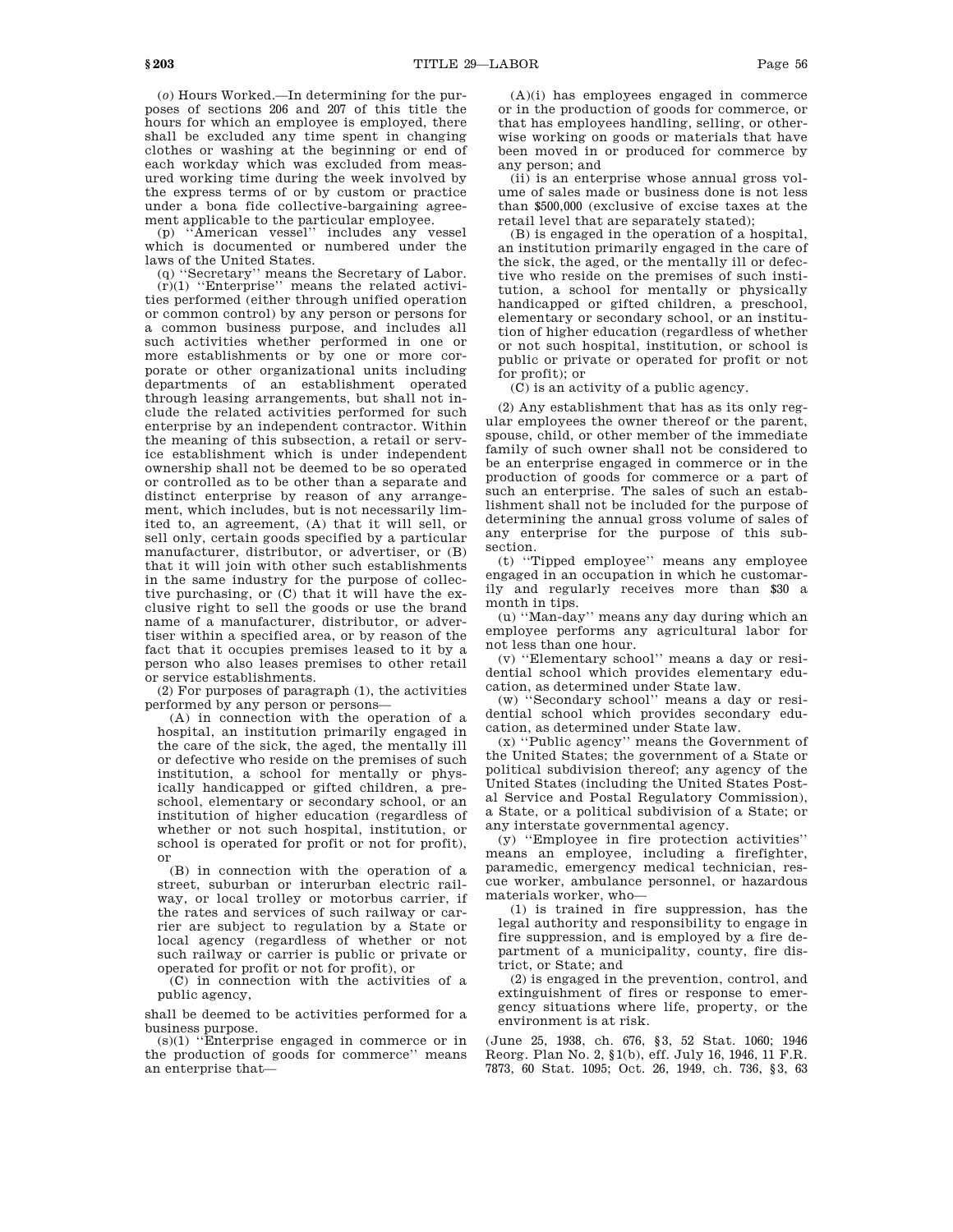(*o*) Hours Worked.—In determining for the purposes of sections 206 and 207 of this title the hours for which an employee is employed, there shall be excluded any time spent in changing clothes or washing at the beginning or end of each workday which was excluded from measured working time during the week involved by the express terms of or by custom or practice under a bona fide collective-bargaining agreement applicable to the particular employee.

(p) ''American vessel'' includes any vessel which is documented or numbered under the laws of the United States.

(q) ''Secretary'' means the Secretary of Labor. (r)(1) ''Enterprise'' means the related activities performed (either through unified operation or common control) by any person or persons for a common business purpose, and includes all such activities whether performed in one or more establishments or by one or more corporate or other organizational units including departments of an establishment operated through leasing arrangements, but shall not include the related activities performed for such enterprise by an independent contractor. Within the meaning of this subsection, a retail or service establishment which is under independent ownership shall not be deemed to be so operated or controlled as to be other than a separate and distinct enterprise by reason of any arrangement, which includes, but is not necessarily limited to, an agreement, (A) that it will sell, or sell only, certain goods specified by a particular manufacturer, distributor, or advertiser, or (B) that it will join with other such establishments in the same industry for the purpose of collective purchasing, or (C) that it will have the exclusive right to sell the goods or use the brand name of a manufacturer, distributor, or advertiser within a specified area, or by reason of the fact that it occupies premises leased to it by a person who also leases premises to other retail or service establishments.

(2) For purposes of paragraph (1), the activities performed by any person or persons—

(A) in connection with the operation of a hospital, an institution primarily engaged in the care of the sick, the aged, the mentally ill or defective who reside on the premises of such institution, a school for mentally or physically handicapped or gifted children, a preschool, elementary or secondary school, or an institution of higher education (regardless of whether or not such hospital, institution, or school is operated for profit or not for profit), or

(B) in connection with the operation of a street, suburban or interurban electric railway, or local trolley or motorbus carrier, if the rates and services of such railway or carrier are subject to regulation by a State or local agency (regardless of whether or not such railway or carrier is public or private or operated for profit or not for profit), or

(C) in connection with the activities of a public agency,

shall be deemed to be activities performed for a business purpose.

(s)(1) ''Enterprise engaged in commerce or in the production of goods for commerce'' means an enterprise that—

(A)(i) has employees engaged in commerce or in the production of goods for commerce, or that has employees handling, selling, or otherwise working on goods or materials that have been moved in or produced for commerce by any person; and

(ii) is an enterprise whose annual gross volume of sales made or business done is not less than \$500,000 (exclusive of excise taxes at the retail level that are separately stated);

(B) is engaged in the operation of a hospital, an institution primarily engaged in the care of the sick, the aged, or the mentally ill or defective who reside on the premises of such institution, a school for mentally or physically handicapped or gifted children, a preschool, elementary or secondary school, or an institution of higher education (regardless of whether or not such hospital, institution, or school is public or private or operated for profit or not for profit); or

(C) is an activity of a public agency.

(2) Any establishment that has as its only regular employees the owner thereof or the parent, spouse, child, or other member of the immediate family of such owner shall not be considered to be an enterprise engaged in commerce or in the production of goods for commerce or a part of such an enterprise. The sales of such an establishment shall not be included for the purpose of determining the annual gross volume of sales of any enterprise for the purpose of this subsection.

(t) ''Tipped employee'' means any employee engaged in an occupation in which he customarily and regularly receives more than \$30 a month in tips.

(u) ''Man-day'' means any day during which an employee performs any agricultural labor for not less than one hour.

(v) ''Elementary school'' means a day or residential school which provides elementary education, as determined under State law.

(w) ''Secondary school'' means a day or residential school which provides secondary education, as determined under State law.

(x) ''Public agency'' means the Government of the United States; the government of a State or political subdivision thereof; any agency of the United States (including the United States Postal Service and Postal Regulatory Commission), a State, or a political subdivision of a State; or any interstate governmental agency.

(y) ''Employee in fire protection activities'' means an employee, including a firefighter, paramedic, emergency medical technician, rescue worker, ambulance personnel, or hazardous materials worker, who—

(1) is trained in fire suppression, has the legal authority and responsibility to engage in fire suppression, and is employed by a fire department of a municipality, county, fire district, or State; and

(2) is engaged in the prevention, control, and extinguishment of fires or response to emergency situations where life, property, or the environment is at risk.

(June 25, 1938, ch. 676, §3, 52 Stat. 1060; 1946 Reorg. Plan No. 2, §1(b), eff. July 16, 1946, 11 F.R. 7873, 60 Stat. 1095; Oct. 26, 1949, ch. 736, §3, 63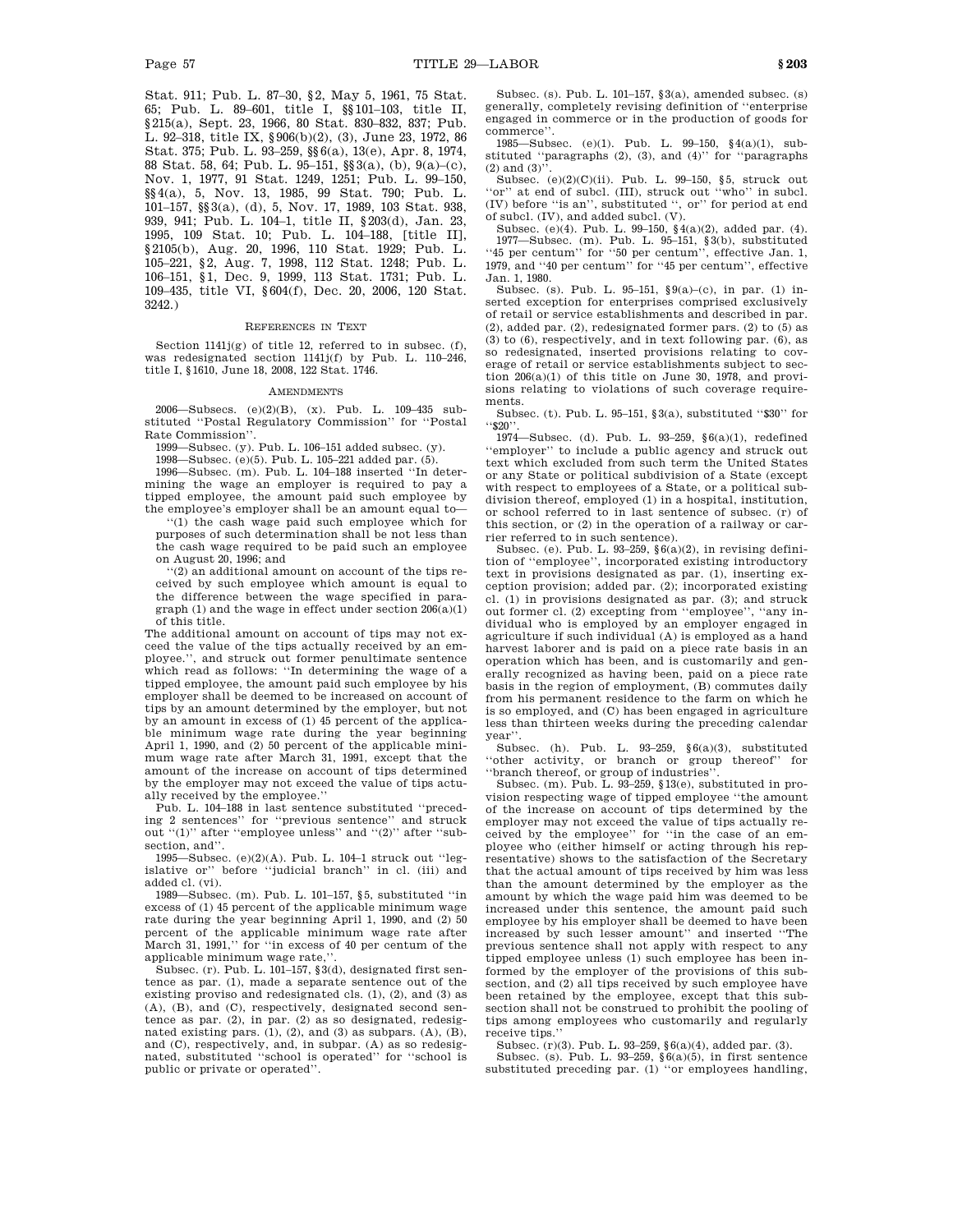Stat. 911; Pub. L. 87–30, §2, May 5, 1961, 75 Stat. 65; Pub. L. 89–601, title I, §§101–103, title II, §215(a), Sept. 23, 1966, 80 Stat. 830–832, 837; Pub. L. 92–318, title IX, §906(b)(2), (3), June 23, 1972, 86 Stat. 375; Pub. L. 93–259, §§6(a), 13(e), Apr. 8, 1974, 88 Stat. 58, 64; Pub. L. 95–151, §§3(a), (b), 9(a)–(c), Nov. 1, 1977, 91 Stat. 1249, 1251; Pub. L. 99–150, §§4(a), 5, Nov. 13, 1985, 99 Stat. 790; Pub. L. 101–157, §§3(a), (d), 5, Nov. 17, 1989, 103 Stat. 938, 939, 941; Pub. L. 104–1, title II, §203(d), Jan. 23, 1995, 109 Stat. 10; Pub. L. 104–188, [title II], §2105(b), Aug. 20, 1996, 110 Stat. 1929; Pub. L. 105–221, §2, Aug. 7, 1998, 112 Stat. 1248; Pub. L. 106–151, §1, Dec. 9, 1999, 113 Stat. 1731; Pub. L. 109–435, title VI, §604(f), Dec. 20, 2006, 120 Stat. 3242.)

## REFERENCES IN TEXT

Section 1141j(g) of title 12, referred to in subsec. (f), was redesignated section 1141j(f) by Pub. L. 110-246, title I, §1610, June 18, 2008, 122 Stat. 1746.

#### **AMENDMENTS**

2006—Subsecs. (e)(2)(B), (x). Pub. L. 109–435 substituted ''Postal Regulatory Commission'' for ''Postal Rate Commission''.

1999—Subsec. (y). Pub. L. 106–151 added subsec. (y).

1998—Subsec. (e)(5). Pub. L. 105–221 added par. (5).

1996—Subsec. (m). Pub. L. 104–188 inserted ''In determining the wage an employer is required to pay a tipped employee, the amount paid such employee by the employee's employer shall be an amount equal to—

''(1) the cash wage paid such employee which for purposes of such determination shall be not less than the cash wage required to be paid such an employee on August 20, 1996; and

''(2) an additional amount on account of the tips received by such employee which amount is equal to the difference between the wage specified in paragraph (1) and the wage in effect under section  $206(a)(1)$ of this title.

The additional amount on account of tips may not exceed the value of the tips actually received by an employee.'', and struck out former penultimate sentence which read as follows: ''In determining the wage of a tipped employee, the amount paid such employee by his employer shall be deemed to be increased on account of tips by an amount determined by the employer, but not by an amount in excess of (1) 45 percent of the applicable minimum wage rate during the year beginning April 1, 1990, and (2) 50 percent of the applicable minimum wage rate after March 31, 1991, except that the amount of the increase on account of tips determined by the employer may not exceed the value of tips actually received by the employee.''

Pub. L. 104–188 in last sentence substituted ''preceding 2 sentences'' for ''previous sentence'' and struck out "(1)" after "employee unless" and "(2)" after "subsection, and''.

1995—Subsec. (e)(2)(A). Pub. L. 104–1 struck out ''legislative or'' before ''judicial branch'' in cl. (iii) and added cl. (vi).

1989—Subsec. (m). Pub. L. 101–157, §5, substituted ''in excess of (1) 45 percent of the applicable minimum wage rate during the year beginning April 1, 1990, and (2) 50 percent of the applicable minimum wage rate after March 31, 1991,'' for ''in excess of 40 per centum of the applicable minimum wage rate,''.

Subsec. (r). Pub. L. 101–157, §3(d), designated first sentence as par. (1), made a separate sentence out of the existing proviso and redesignated cls. (1), (2), and (3) as (A), (B), and (C), respectively, designated second sentence as par. (2), in par. (2) as so designated, redesignated existing pars.  $(1)$ ,  $(2)$ , and  $(3)$  as subpars.  $(A)$ ,  $(B)$ , and (C), respectively, and, in subpar. (A) as so redesignated, substituted ''school is operated'' for ''school is public or private or operated''.

Subsec. (s). Pub. L. 101–157, §3(a), amended subsec. (s) generally, completely revising definition of ''enterprise engaged in commerce or in the production of goods for commerce''.

1985—Subsec. (e)(1). Pub. L. 99–150, §4(a)(1), substituted ''paragraphs (2), (3), and (4)'' for ''paragraphs  $(2)$  and  $(3)'$ 

Subsec. (e)(2)(C)(ii). Pub. L. 99–150, §5, struck out ''or'' at end of subcl. (III), struck out ''who'' in subcl. (IV) before ''is an'', substituted '', or'' for period at end of subcl. (IV), and added subcl. (V).

Subsec. (e)(4). Pub. L. 99–150, §4(a)(2), added par. (4). 1977—Subsec. (m). Pub. L. 95–151, §3(b), substituted ''45 per centum'' for ''50 per centum'', effective Jan. 1, 1979, and ''40 per centum'' for ''45 per centum'', effective Jan. 1, 1980.

Subsec. (s). Pub. L. 95–151, §9(a)–(c), in par. (1) inserted exception for enterprises comprised exclusively of retail or service establishments and described in par. (2), added par. (2), redesignated former pars. (2) to (5) as (3) to (6), respectively, and in text following par. (6), as so redesignated, inserted provisions relating to coverage of retail or service establishments subject to section 206(a)(1) of this title on June 30, 1978, and provisions relating to violations of such coverage requirements.

Subsec. (t). Pub. L. 95–151, §3(a), substituted ''\$30'' for ''\$20''.

1974—Subsec. (d). Pub. L. 93–259, §6(a)(1), redefined ''employer'' to include a public agency and struck out text which excluded from such term the United States or any State or political subdivision of a State (except with respect to employees of a State, or a political subdivision thereof, employed (1) in a hospital, institution, or school referred to in last sentence of subsec. (r) of this section, or (2) in the operation of a railway or carrier referred to in such sentence).

Subsec. (e). Pub. L. 93–259, §6(a)(2), in revising definition of ''employee'', incorporated existing introductory text in provisions designated as par. (1), inserting exception provision; added par. (2); incorporated existing cl. (1) in provisions designated as par. (3); and struck out former cl. (2) excepting from ''employee'', ''any individual who is employed by an employer engaged in agriculture if such individual (A) is employed as a hand harvest laborer and is paid on a piece rate basis in an operation which has been, and is customarily and generally recognized as having been, paid on a piece rate basis in the region of employment, (B) commutes daily from his permanent residence to the farm on which he is so employed, and (C) has been engaged in agriculture less than thirteen weeks during the preceding calendar year''.

Subsec. (h). Pub. L. 93-259,  $§6(a)(3)$ , substituted ''other activity, or branch or group thereof'' for ''branch thereof, or group of industries''.

Subsec. (m). Pub. L.  $93-259$ ,  $$13(e)$ , substituted in provision respecting wage of tipped employee ''the amount of the increase on account of tips determined by the employer may not exceed the value of tips actually received by the employee'' for ''in the case of an employee who (either himself or acting through his representative) shows to the satisfaction of the Secretary that the actual amount of tips received by him was less than the amount determined by the employer as the amount by which the wage paid him was deemed to be increased under this sentence, the amount paid such employee by his employer shall be deemed to have been increased by such lesser amount'' and inserted ''The previous sentence shall not apply with respect to any tipped employee unless (1) such employee has been informed by the employer of the provisions of this subsection, and (2) all tips received by such employee have been retained by the employee, except that this subsection shall not be construed to prohibit the pooling of tips among employees who customarily and regularly receive tips.

Subsec. (r)(3). Pub. L. 93–259, §6(a)(4), added par. (3).

Subsec. (s). Pub. L. 93–259, §6(a)(5), in first sentence substituted preceding par. (1) ''or employees handling,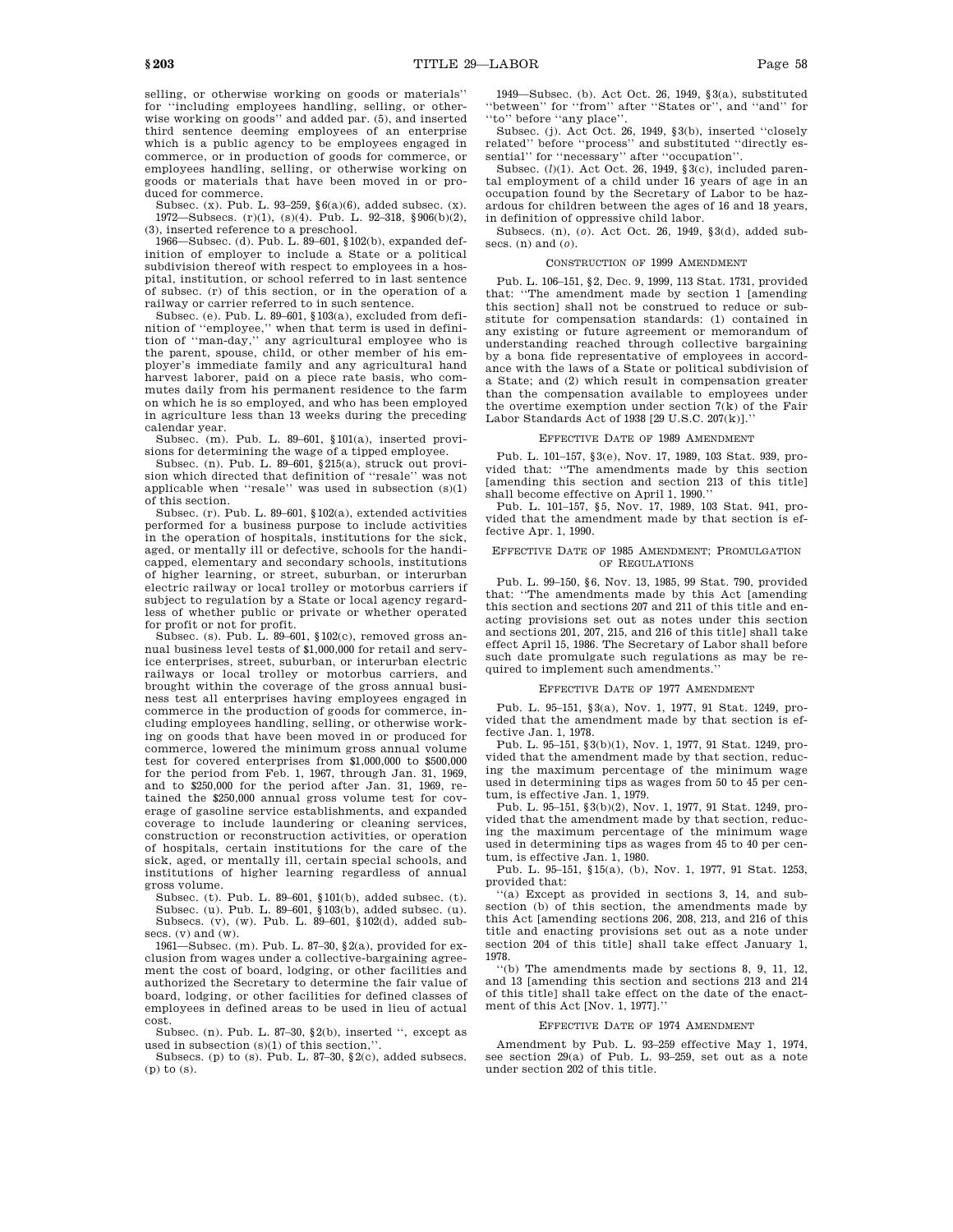selling, or otherwise working on goods or materials'' for ''including employees handling, selling, or otherwise working on goods'' and added par. (5), and inserted third sentence deeming employees of an enterprise which is a public agency to be employees engaged in commerce, or in production of goods for commerce, or employees handling, selling, or otherwise working on goods or materials that have been moved in or produced for commerce.

Subsec. (x). Pub. L. 93–259,  $§ 6(a)(6)$ , added subsec. (x). 1972—Subsecs. (r)(1), (s)(4). Pub. L. 92–318, §906(b)(2), (3), inserted reference to a preschool.

1966—Subsec. (d). Pub. L. 89–601, §102(b), expanded definition of employer to include a State or a political subdivision thereof with respect to employees in a hospital, institution, or school referred to in last sentence of subsec. (r) of this section, or in the operation of a railway or carrier referred to in such sentence.

Subsec. (e). Pub. L. 89–601, §103(a), excluded from definition of ''employee,'' when that term is used in definition of ''man-day,'' any agricultural employee who is the parent, spouse, child, or other member of his employer's immediate family and any agricultural hand harvest laborer, paid on a piece rate basis, who commutes daily from his permanent residence to the farm on which he is so employed, and who has been employed in agriculture less than 13 weeks during the preceding calendar year.

Subsec. (m). Pub. L. 89–601, §101(a), inserted provisions for determining the wage of a tipped employee.

Subsec. (n). Pub. L. 89–601, §215(a), struck out provision which directed that definition of ''resale'' was not applicable when ''resale'' was used in subsection (s)(1) of this section.

Subsec. (r). Pub. L. 89–601, §102(a), extended activities performed for a business purpose to include activities in the operation of hospitals, institutions for the sick, aged, or mentally ill or defective, schools for the handicapped, elementary and secondary schools, institutions of higher learning, or street, suburban, or interurban electric railway or local trolley or motorbus carriers if subject to regulation by a State or local agency regardless of whether public or private or whether operated for profit or not for profit.

Subsec. (s). Pub. L. 89–601, §102(c), removed gross annual business level tests of \$1,000,000 for retail and service enterprises, street, suburban, or interurban electric railways or local trolley or motorbus carriers, and brought within the coverage of the gross annual business test all enterprises having employees engaged in commerce in the production of goods for commerce, including employees handling, selling, or otherwise working on goods that have been moved in or produced for commerce, lowered the minimum gross annual volume test for covered enterprises from \$1,000,000 to \$500,000 for the period from Feb. 1, 1967, through Jan. 31, 1969, and to \$250,000 for the period after Jan. 31, 1969, retained the \$250,000 annual gross volume test for coverage of gasoline service establishments, and expanded coverage to include laundering or cleaning services, construction or reconstruction activities, or operation of hospitals, certain institutions for the care of the sick, aged, or mentally ill, certain special schools, and institutions of higher learning regardless of annual gross volume.

Subsec. (t). Pub. L. 89–601, §101(b), added subsec. (t). Subsec. (u). Pub. L. 89–601, §103(b), added subsec. (u). Subsecs. (v), (w). Pub. L. 89–601, §102(d), added subsecs. (v) and (w).

1961—Subsec. (m). Pub. L. 87–30, §2(a), provided for exclusion from wages under a collective-bargaining agreement the cost of board, lodging, or other facilities and authorized the Secretary to determine the fair value of board, lodging, or other facilities for defined classes of employees in defined areas to be used in lieu of actual cost.

Subsec. (n). Pub. L. 87–30, §2(b), inserted '', except as used in subsection (s)(1) of this section,"

Subsecs. (p) to (s). Pub. L. 87–30, §2(c), added subsecs. (p) to (s).

1949—Subsec. (b). Act Oct. 26, 1949, §3(a), substituted ''between'' for ''from'' after ''States or'', and ''and'' for ''to'' before ''any place''.

Subsec. (j). Act Oct. 26, 1949, §3(b), inserted ''closely related'' before ''process'' and substituted ''directly essential" for "necessary" after "occupation"

Subsec. (*l*)(1). Act Oct. 26, 1949, §3(c), included parental employment of a child under 16 years of age in an occupation found by the Secretary of Labor to be hazardous for children between the ages of 16 and 18 years, in definition of oppressive child labor.

Subsecs. (n), (*o*). Act Oct. 26, 1949, §3(d), added subsecs. (n) and (*o*).

## CONSTRUCTION OF 1999 AMENDMENT

Pub. L. 106–151, §2, Dec. 9, 1999, 113 Stat. 1731, provided that: ''The amendment made by section 1 [amending this section] shall not be construed to reduce or substitute for compensation standards: (1) contained in any existing or future agreement or memorandum of understanding reached through collective bargaining by a bona fide representative of employees in accordance with the laws of a State or political subdivision of a State; and (2) which result in compensation greater than the compensation available to employees under the overtime exemption under section  $7(k)$  of the Fair Labor Standards Act of 1938 [29 U.S.C. 207(k)].''

## EFFECTIVE DATE OF 1989 AMENDMENT

Pub. L. 101–157, §3(e), Nov. 17, 1989, 103 Stat. 939, provided that: ''The amendments made by this section [amending this section and section 213 of this title] shall become effective on April 1, 1990.''

Pub. L. 101–157, §5, Nov. 17, 1989, 103 Stat. 941, provided that the amendment made by that section is effective Apr. 1, 1990.

### EFFECTIVE DATE OF 1985 AMENDMENT; PROMULGATION OF REGULATIONS

Pub. L. 99–150, §6, Nov. 13, 1985, 99 Stat. 790, provided that: ''The amendments made by this Act [amending this section and sections 207 and 211 of this title and enacting provisions set out as notes under this section and sections 201, 207, 215, and 216 of this title] shall take effect April 15, 1986. The Secretary of Labor shall before such date promulgate such regulations as may be required to implement such amendments.''

## EFFECTIVE DATE OF 1977 AMENDMENT

Pub. L. 95–151, §3(a), Nov. 1, 1977, 91 Stat. 1249, provided that the amendment made by that section is effective Jan. 1, 1978.

Pub. L. 95–151, §3(b)(1), Nov. 1, 1977, 91 Stat. 1249, provided that the amendment made by that section, reducing the maximum percentage of the minimum wage used in determining tips as wages from 50 to 45 per centum, is effective Jan. 1, 1979.

Pub. L. 95–151, §3(b)(2), Nov. 1, 1977, 91 Stat. 1249, provided that the amendment made by that section, reducing the maximum percentage of the minimum wage used in determining tips as wages from 45 to 40 per centum, is effective Jan. 1, 1980.

Pub. L. 95–151, §15(a), (b), Nov. 1, 1977, 91 Stat. 1253, provided that:

''(a) Except as provided in sections 3, 14, and subsection (b) of this section, the amendments made by this Act [amending sections 206, 208, 213, and 216 of this title and enacting provisions set out as a note under section 204 of this title] shall take effect January 1, 1978.

''(b) The amendments made by sections 8, 9, 11, 12, and 13 [amending this section and sections 213 and 214 of this title] shall take effect on the date of the enactment of this Act [Nov. 1, 1977].''

## EFFECTIVE DATE OF 1974 AMENDMENT

Amendment by Pub. L. 93–259 effective May 1, 1974, see section 29(a) of Pub. L. 93–259, set out as a note under section 202 of this title.